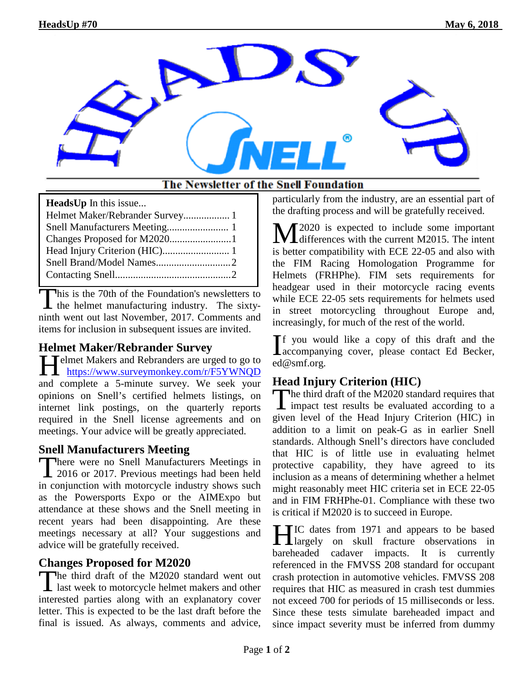

#### The Newsletter of the Snell Foundation

| <b>HeadsUp</b> In this issue |
|------------------------------|
|                              |
|                              |
|                              |
|                              |
|                              |
|                              |

his is the 70th of the Foundation's newsletters to This is the 70th of the Foundation's newsletters to<br>the helmet manufacturing industry. The sixtyninth went out last November, 2017. Comments and items for inclusion in subsequent issues are invited.

### **Helmet Maker/Rebrander Survey**

Helmet Makers and Rebranders are urged to go to<br>
https://www.surveymonkey.com/r/F5YWNQD https://www.surveymonkey.com/r/F5YWNQD and complete a 5-minute survey. We seek your opinions on Snell's certified helmets listings, on internet link postings, on the quarterly reports required in the Snell license agreements and on meetings. Your advice will be greatly appreciated.

### **Snell Manufacturers Meeting**

There were no Snell Manufacturers Meetings in<br>2016 or 2017. Previous meetings had been held 1 2016 or 2017. Previous meetings had been held in conjunction with motorcycle industry shows such as the Powersports Expo or the AIMExpo but attendance at these shows and the Snell meeting in recent years had been disappointing. Are these meetings necessary at all? Your suggestions and advice will be gratefully received.

# **Changes Proposed for M2020**

The third draft of the M2020 standard went out<br>last week to motorcycle helmet makers and other last week to motorcycle helmet makers and other interested parties along with an explanatory cover letter. This is expected to be the last draft before the final is issued. As always, comments and advice, particularly from the industry, are an essential part of the drafting process and will be gratefully received.

2020 is expected to include some important  $\mathbf{M}^{2020}$  is expected to include some important differences with the current M2015. The intent is better compatibility with ECE 22-05 and also with the FIM Racing Homologation Programme for Helmets (FRHPhe). FIM sets requirements for headgear used in their motorcycle racing events while ECE 22-05 sets requirements for helmets used in street motorcycling throughout Europe and, increasingly, for much of the rest of the world.

f you would like a copy of this draft and the  $\prod_{\text{a}}$  region of the state of this draft and the accompanying cover, please contact Ed Becker, ed@smf.org.

# **Head Injury Criterion (HIC)**

The third draft of the M2020 standard requires that<br>
impact test results be evaluated according to a impact test results be evaluated according to a given level of the Head Injury Criterion (HIC) in addition to a limit on peak-G as in earlier Snell standards. Although Snell's directors have concluded that HIC is of little use in evaluating helmet protective capability, they have agreed to its inclusion as a means of determining whether a helmet might reasonably meet HIC criteria set in ECE 22-05 and in FIM FRHPhe-01. Compliance with these two is critical if M2020 is to succeed in Europe.

IC dates from 1971 and appears to be based HIC dates from 1971 and appears to be based<br>largely on skull fracture observations in bareheaded cadaver impacts. It is currently referenced in the FMVSS 208 standard for occupant crash protection in automotive vehicles. FMVSS 208 requires that HIC as measured in crash test dummies not exceed 700 for periods of 15 milliseconds or less. Since these tests simulate bareheaded impact and since impact severity must be inferred from dummy